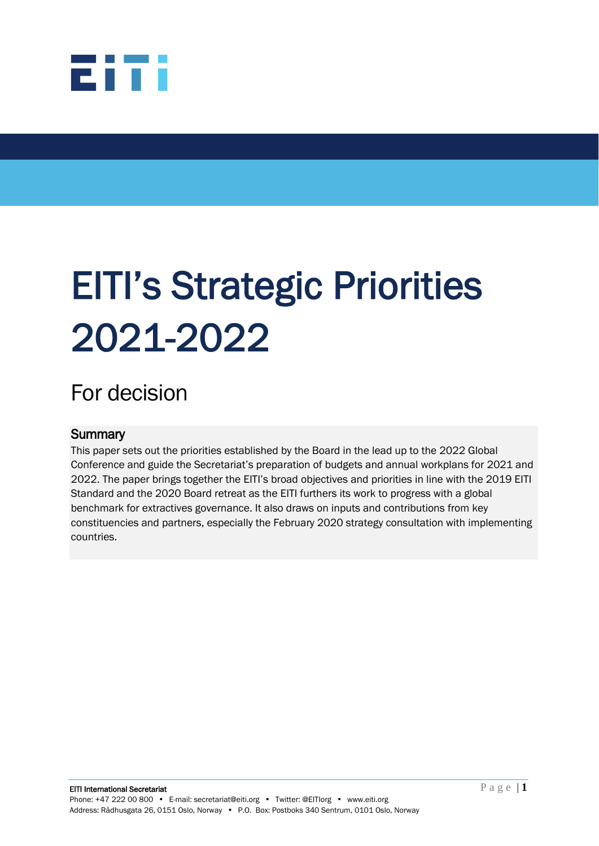

# EITI's Strategic Priorities 2021-2022

# For decision

#### **Summary**

This paper sets out the priorities established by the Board in the lead up to the 2022 Global Conference and guide the Secretariat's preparation of budgets and annual workplans for 2021 and 2022. The paper brings together the EITI's broad objectives and priorities in line with the 2019 EITI Standard and the 2020 Board retreat as the EITI furthers its work to progress with a global benchmark for extractives governance. It also draws on inputs and contributions from key constituencies and partners, especially the February 2020 strategy consultation with implementing countries.

l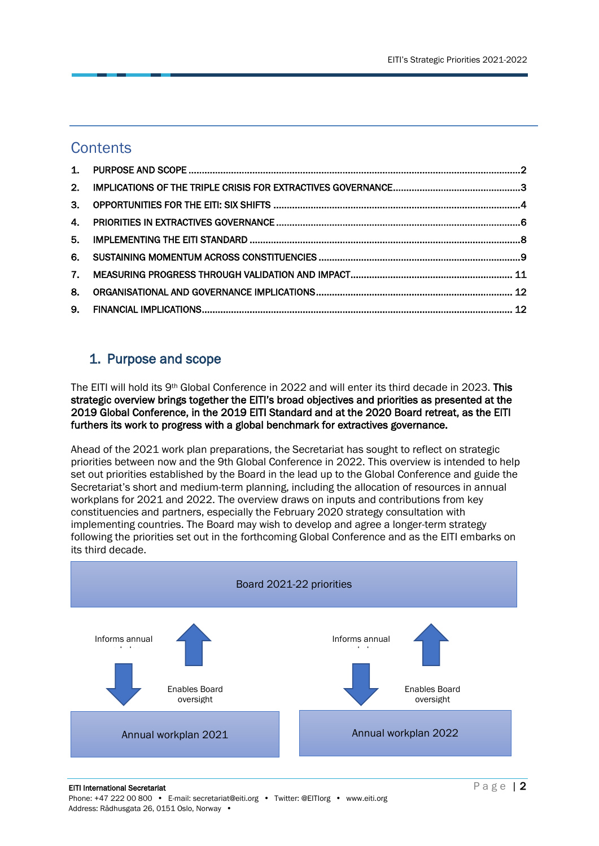## **Contents**

| $\mathbf{4}$ |  |
|--------------|--|
| 5.           |  |
|              |  |
|              |  |
| 8.           |  |
| 9.           |  |

# <span id="page-1-0"></span>1. Purpose and scope

The EITI will hold its 9th Global Conference in 2022 and will enter its third decade in 2023. This strategic overview brings together the EITI's broad objectives and priorities as presented at the 2019 Global Conference, in the 2019 EITI Standard and at the 2020 Board retreat, as the EITI furthers its work to progress with a global benchmark for extractives governance.

Ahead of the 2021 work plan preparations, the Secretariat has sought to reflect on strategic priorities between now and the 9th Global Conference in 2022. This overview is intended to help set out priorities established by the Board in the lead up to the Global Conference and guide the Secretariat's short and medium-term planning, including the allocation of resources in annual workplans for 2021 and 2022. The overview draws on inputs and contributions from key constituencies and partners, especially the February 2020 strategy consultation with implementing countries. The Board may wish to develop and agree a longer-term strategy following the priorities set out in the forthcoming Global Conference and as the EITI embarks on its third decade.

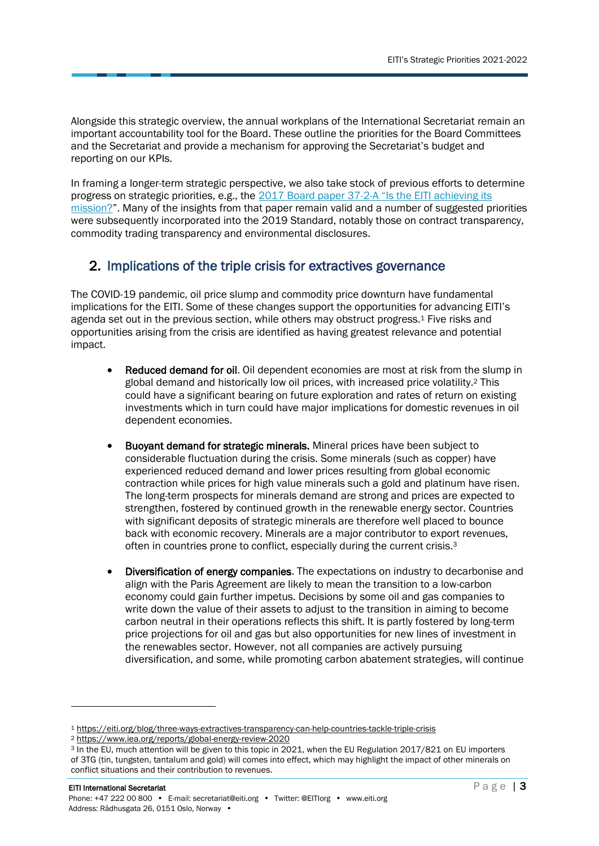Alongside this strategic overview, the annual workplans of the International Secretariat remain an important accountability tool for the Board. These outline the priorities for the Board Committees and the Secretariat and provide a mechanism for approving the Secretariat's budget and reporting on our KPIs.

In framing a longer-term strategic perspective, we also take stock of previous efforts to determine progress on strategic priorities, e.g., the 2017 Board paper 37-2-[A "Is the EITI achieving its](https://eiti.org/system/files/documents/board_paper_37-2-a_is_the_eiti_achieving_its_mission.pdf)  [mission?](https://eiti.org/system/files/documents/board_paper_37-2-a_is_the_eiti_achieving_its_mission.pdf)". Many of the insights from that paper remain valid and a number of suggested priorities were subsequently incorporated into the 2019 Standard, notably those on contract transparency, commodity trading transparency and environmental disclosures.

#### <span id="page-2-0"></span>2. Implications of the triple crisis for extractives governance

The COVID-19 pandemic, oil price slump and commodity price downturn have fundamental implications for the EITI. Some of these changes support the opportunities for advancing EITI's agenda set out in the previous section, while others may obstruct progress.<sup>1</sup> Five risks and opportunities arising from the crisis are identified as having greatest relevance and potential impact.

- Reduced demand for oil. Oil dependent economies are most at risk from the slump in global demand and historically low oil prices, with increased price volatility. <sup>2</sup> This could have a significant bearing on future exploration and rates of return on existing investments which in turn could have major implications for domestic revenues in oil dependent economies.
- Buoyant demand for strategic minerals. Mineral prices have been subject to considerable fluctuation during the crisis. Some minerals (such as copper) have experienced reduced demand and lower prices resulting from global economic contraction while prices for high value minerals such a gold and platinum have risen. The long-term prospects for minerals demand are strong and prices are expected to strengthen, fostered by continued growth in the renewable energy sector. Countries with significant deposits of strategic minerals are therefore well placed to bounce back with economic recovery. Minerals are a major contributor to export revenues, often in countries prone to conflict, especially during the current crisis.<sup>3</sup>
- Diversification of energy companies. The expectations on industry to decarbonise and align with the Paris Agreement are likely to mean the transition to a low-carbon economy could gain further impetus. Decisions by some oil and gas companies to write down the value of their assets to adjust to the transition in aiming to become carbon neutral in their operations reflects this shift. It is partly fostered by long-term price projections for oil and gas but also opportunities for new lines of investment in the renewables sector. However, not all companies are actively pursuing diversification, and some, while promoting carbon abatement strategies, will continue

<sup>1</sup> <https://eiti.org/blog/three-ways-extractives-transparency-can-help-countries-tackle-triple-crisis>

<sup>2</sup> <https://www.iea.org/reports/global-energy-review-2020>

<sup>3</sup> In the EU, much attention will be given to this topic in 2021, when the EU Regulation 2017/821 on EU importers of 3TG (tin, tungsten, tantalum and gold) will comes into effect, which may highlight the impact of other minerals on conflict situations and their contribution to revenues.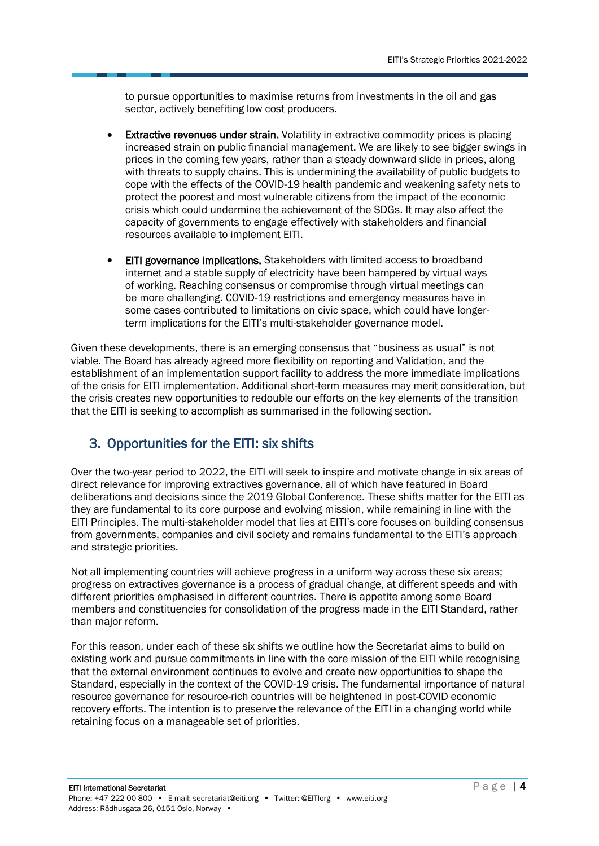to pursue opportunities to maximise returns from investments in the oil and gas sector, actively benefiting low cost producers.

- Extractive revenues under strain. Volatility in extractive commodity prices is placing increased strain on public financial management. We are likely to see bigger swings in prices in the coming few years, rather than a steady downward slide in prices, along with threats to supply chains. This is undermining the availability of public budgets to cope with the effects of the COVID-19 health pandemic and weakening safety nets to protect the poorest and most vulnerable citizens from the impact of the economic crisis which could undermine the achievement of the SDGs. It may also affect the capacity of governments to engage effectively with stakeholders and financial resources available to implement EITI.
- EITI governance implications. Stakeholders with limited access to broadband internet and a stable supply of electricity have been hampered by virtual ways of working. Reaching consensus or compromise through virtual meetings can be more challenging. COVID-19 restrictions and emergency measures have in some cases contributed to limitations on civic space, which could have longerterm implications for the EITI's multi-stakeholder governance model.

Given these developments, there is an emerging consensus that "business as usual" is not viable. The Board has already agreed more flexibility on reporting and Validation, and the establishment of an implementation support facility to address the more immediate implications of the crisis for EITI implementation. Additional short-term measures may merit consideration, but the crisis creates new opportunities to redouble our efforts on the key elements of the transition that the EITI is seeking to accomplish as summarised in the following section.

### <span id="page-3-0"></span>3. Opportunities for the EITI: six shifts

Over the two-year period to 2022, the EITI will seek to inspire and motivate change in six areas of direct relevance for improving extractives governance, all of which have featured in Board deliberations and decisions since the 2019 Global Conference. These shifts matter for the EITI as they are fundamental to its core purpose and evolving mission, while remaining in line with the EITI Principles. The multi-stakeholder model that lies at EITI's core focuses on building consensus from governments, companies and civil society and remains fundamental to the EITI's approach and strategic priorities.

Not all implementing countries will achieve progress in a uniform way across these six areas; progress on extractives governance is a process of gradual change, at different speeds and with different priorities emphasised in different countries. There is appetite among some Board members and constituencies for consolidation of the progress made in the EITI Standard, rather than major reform.

For this reason, under each of these six shifts we outline how the Secretariat aims to build on existing work and pursue commitments in line with the core mission of the EITI while recognising that the external environment continues to evolve and create new opportunities to shape the Standard, especially in the context of the COVID-19 crisis. The fundamental importance of natural resource governance for resource-rich countries will be heightened in post-COVID economic recovery efforts. The intention is to preserve the relevance of the EITI in a changing world while retaining focus on a manageable set of priorities.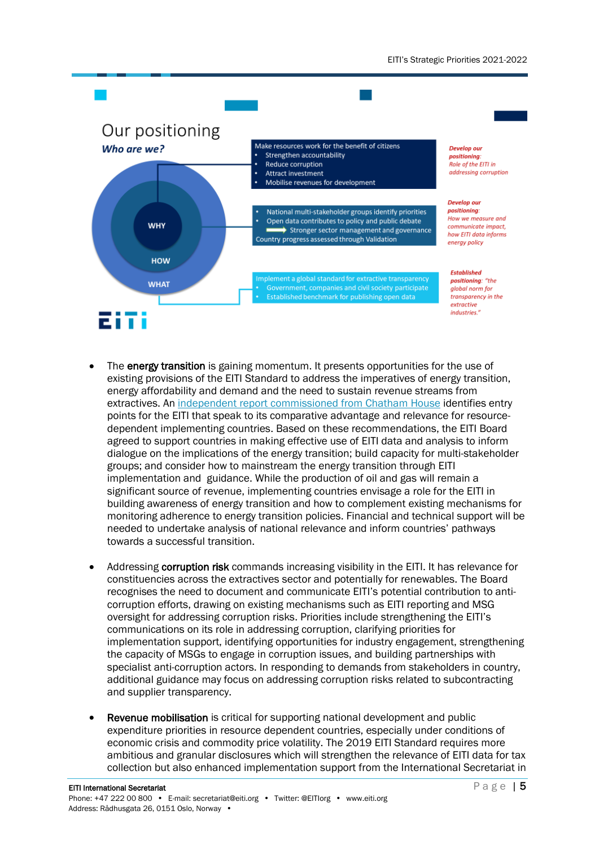

- The energy transition is gaining momentum. It presents opportunities for the use of existing provisions of the EITI Standard to address the imperatives of energy transition, energy affordability and demand and the need to sustain revenue streams from extractives. A[n independent report commissioned from Chatham House](https://eiti.org/files/documents/transparency_in_transition.pdf) identifies entry points for the EITI that speak to its comparative advantage and relevance for resourcedependent implementing countries. Based on these recommendations, the EITI Board agreed to support countries in making effective use of EITI data and analysis to inform dialogue on the implications of the energy transition; build capacity for multi-stakeholder groups; and consider how to mainstream the energy transition through EITI implementation and guidance. While the production of oil and gas will remain a significant source of revenue, implementing countries envisage a role for the EITI in building awareness of energy transition and how to complement existing mechanisms for monitoring adherence to energy transition policies. Financial and technical support will be needed to undertake analysis of national relevance and inform countries' pathways towards a successful transition.
- Addressing corruption risk commands increasing visibility in the EITI. It has relevance for constituencies across the extractives sector and potentially for renewables. The Board recognises the need to document and communicate EITI's potential contribution to anticorruption efforts, drawing on existing mechanisms such as EITI reporting and MSG oversight for addressing corruption risks. Priorities include strengthening the EITI's communications on its role in addressing corruption, clarifying priorities for implementation support, identifying opportunities for industry engagement, strengthening the capacity of MSGs to engage in corruption issues, and building partnerships with specialist anti-corruption actors. In responding to demands from stakeholders in country, additional guidance may focus on addressing corruption risks related to subcontracting and supplier transparency.
- Revenue mobilisation is critical for supporting national development and public expenditure priorities in resource dependent countries, especially under conditions of economic crisis and commodity price volatility. The 2019 EITI Standard requires more ambitious and granular disclosures which will strengthen the relevance of EITI data for tax collection but also enhanced implementation support from the International Secretariat in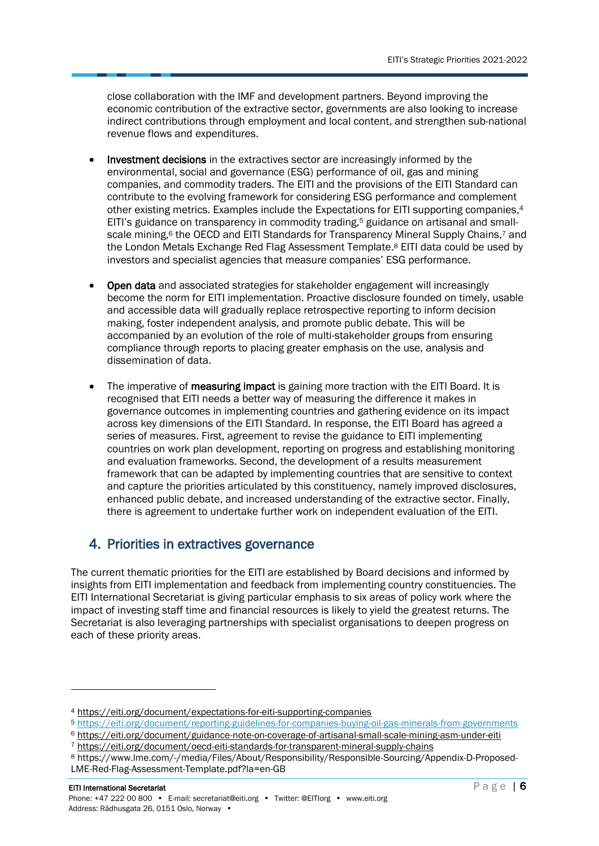close collaboration with the IMF and development partners. Beyond improving the economic contribution of the extractive sector, governments are also looking to increase indirect contributions through employment and local content, and strengthen sub-national revenue flows and expenditures.

- Investment decisions in the extractives sector are increasingly informed by the environmental, social and governance (ESG) performance of oil, gas and mining companies, and commodity traders. The EITI and the provisions of the EITI Standard can contribute to the evolving framework for considering ESG performance and complement other existing metrics. Examples include the Expectations for EITI supporting companies, 4 EITI's guidance on transparency in commodity trading, <sup>5</sup> guidance on artisanal and smallscale mining,<sup>6</sup> the OECD and EITI Standards for Transparency Mineral Supply Chains,<sup>7</sup> and the London Metals Exchange Red Flag Assessment Template. <sup>8</sup> EITI data could be used by investors and specialist agencies that measure companies' ESG performance.
- Open data and associated strategies for stakeholder engagement will increasingly become the norm for EITI implementation. Proactive disclosure founded on timely, usable and accessible data will gradually replace retrospective reporting to inform decision making, foster independent analysis, and promote public debate. This will be accompanied by an evolution of the role of multi-stakeholder groups from ensuring compliance through reports to placing greater emphasis on the use, analysis and dissemination of data.
- The imperative of **measuring impact** is gaining more traction with the EITI Board. It is recognised that EITI needs a better way of measuring the difference it makes in governance outcomes in implementing countries and gathering evidence on its impact across key dimensions of the EITI Standard. In response, the EITI Board has agreed a series of measures. First, agreement to revise the guidance to EITI implementing countries on work plan development, reporting on progress and establishing monitoring and evaluation frameworks. Second, the development of a results measurement framework that can be adapted by implementing countries that are sensitive to context and capture the priorities articulated by this constituency, namely improved disclosures, enhanced public debate, and increased understanding of the extractive sector. Finally, there is agreement to undertake further work on independent evaluation of the EITI.

### <span id="page-5-0"></span>4. Priorities in extractives governance

The current thematic priorities for the EITI are established by Board decisions and informed by insights from EITI implementation and feedback from implementing country constituencies. The EITI International Secretariat is giving particular emphasis to six areas of policy work where the impact of investing staff time and financial resources is likely to yield the greatest returns. The Secretariat is also leveraging partnerships with specialist organisations to deepen progress on each of these priority areas.

<sup>4</sup> <https://eiti.org/document/expectations-for-eiti-supporting-companies>

<sup>5</sup> <https://eiti.org/document/reporting-guidelines-for-companies-buying-oil-gas-minerals-from-governments>

<sup>6</sup> <https://eiti.org/document/guidance-note-on-coverage-of-artisanal-small-scale-mining-asm-under-eiti>

<sup>7</sup> <https://eiti.org/document/oecd-eiti-standards-for-transparent-mineral-supply-chains>

<sup>8</sup> https://www.lme.com/-/media/Files/About/Responsibility/Responsible-Sourcing/Appendix-D-Proposed-LME-Red-Flag-Assessment-Template.pdf?la=en-GB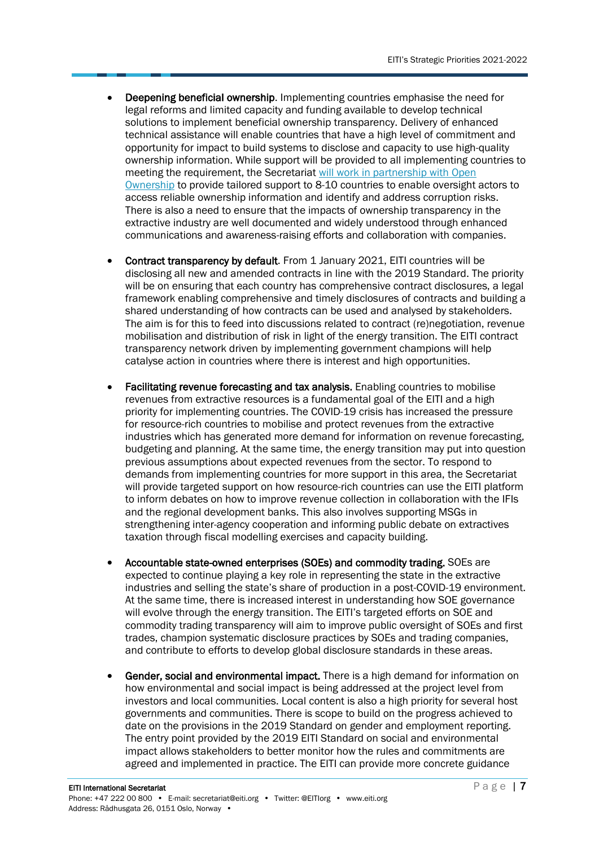- Deepening beneficial ownership. Implementing countries emphasise the need for legal reforms and limited capacity and funding available to develop technical solutions to implement beneficial ownership transparency. Delivery of enhanced technical assistance will enable countries that have a high level of commitment and opportunity for impact to build systems to disclose and capacity to use high-quality ownership information. While support will be provided to all implementing countries to meeting the requirement, the Secretariat will [work in partnership with Open](https://eiti.org/blog/opening-extractives-registering-beneficial-owners-of-oil-gas-mining-companies)  [Ownership](https://eiti.org/blog/opening-extractives-registering-beneficial-owners-of-oil-gas-mining-companies) to provide tailored support to 8-10 countries to enable oversight actors to access reliable ownership information and identify and address corruption risks. There is also a need to ensure that the impacts of ownership transparency in the extractive industry are well documented and widely understood through enhanced communications and awareness-raising efforts and collaboration with companies.
- Contract transparency by default. From 1 January 2021, EITI countries will be disclosing all new and amended contracts in line with the 2019 Standard. The priority will be on ensuring that each country has comprehensive contract disclosures, a legal framework enabling comprehensive and timely disclosures of contracts and building a shared understanding of how contracts can be used and analysed by stakeholders. The aim is for this to feed into discussions related to contract (re)negotiation, revenue mobilisation and distribution of risk in light of the energy transition. The EITI contract transparency network driven by implementing government champions will help catalyse action in countries where there is interest and high opportunities.
- Facilitating revenue forecasting and tax analysis. Enabling countries to mobilise revenues from extractive resources is a fundamental goal of the EITI and a high priority for implementing countries. The COVID-19 crisis has increased the pressure for resource-rich countries to mobilise and protect revenues from the extractive industries which has generated more demand for information on revenue forecasting, budgeting and planning. At the same time, the energy transition may put into question previous assumptions about expected revenues from the sector. To respond to demands from implementing countries for more support in this area, the Secretariat will provide targeted support on how resource-rich countries can use the EITI platform to inform debates on how to improve revenue collection in collaboration with the IFIs and the regional development banks. This also involves supporting MSGs in strengthening inter-agency cooperation and informing public debate on extractives taxation through fiscal modelling exercises and capacity building.
- Accountable state-owned enterprises (SOEs) and commodity trading. SOEs are expected to continue playing a key role in representing the state in the extractive industries and selling the state's share of production in a post-COVID-19 environment. At the same time, there is increased interest in understanding how SOE governance will evolve through the energy transition. The EITI's targeted efforts on SOE and commodity trading transparency will aim to improve public oversight of SOEs and first trades, champion systematic disclosure practices by SOEs and trading companies, and contribute to efforts to develop global disclosure standards in these areas.
- Gender, social and environmental impact. There is a high demand for information on how environmental and social impact is being addressed at the project level from investors and local communities. Local content is also a high priority for several host governments and communities. There is scope to build on the progress achieved to date on the provisions in the 2019 Standard on gender and employment reporting. The entry point provided by the 2019 EITI Standard on social and environmental impact allows stakeholders to better monitor how the rules and commitments are agreed and implemented in practice. The EITI can provide more concrete guidance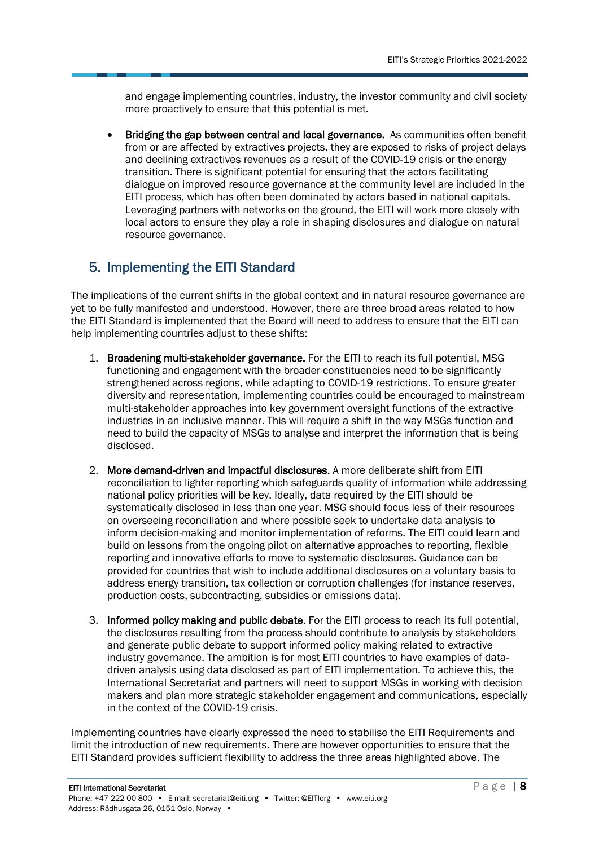and engage implementing countries, industry, the investor community and civil society more proactively to ensure that this potential is met.

• Bridging the gap between central and local governance. As communities often benefit from or are affected by extractives projects, they are exposed to risks of project delays and declining extractives revenues as a result of the COVID-19 crisis or the energy transition. There is significant potential for ensuring that the actors facilitating dialogue on improved resource governance at the community level are included in the EITI process, which has often been dominated by actors based in national capitals. Leveraging partners with networks on the ground, the EITI will work more closely with local actors to ensure they play a role in shaping disclosures and dialogue on natural resource governance.

#### <span id="page-7-0"></span>5. Implementing the EITI Standard

The implications of the current shifts in the global context and in natural resource governance are yet to be fully manifested and understood. However, there are three broad areas related to how the EITI Standard is implemented that the Board will need to address to ensure that the EITI can help implementing countries adjust to these shifts:

- 1. Broadening multi-stakeholder governance. For the EITI to reach its full potential, MSG functioning and engagement with the broader constituencies need to be significantly strengthened across regions, while adapting to COVID-19 restrictions. To ensure greater diversity and representation, implementing countries could be encouraged to mainstream multi-stakeholder approaches into key government oversight functions of the extractive industries in an inclusive manner. This will require a shift in the way MSGs function and need to build the capacity of MSGs to analyse and interpret the information that is being disclosed.
- 2. More demand-driven and impactful disclosures. A more deliberate shift from EITI reconciliation to lighter reporting which safeguards quality of information while addressing national policy priorities will be key. Ideally, data required by the EITI should be systematically disclosed in less than one year. MSG should focus less of their resources on overseeing reconciliation and where possible seek to undertake data analysis to inform decision-making and monitor implementation of reforms. The EITI could learn and build on lessons from the ongoing pilot on alternative approaches to reporting, flexible reporting and innovative efforts to move to systematic disclosures. Guidance can be provided for countries that wish to include additional disclosures on a voluntary basis to address energy transition, tax collection or corruption challenges (for instance reserves, production costs, subcontracting, subsidies or emissions data).
- 3. Informed policy making and public debate. For the EITI process to reach its full potential, the disclosures resulting from the process should contribute to analysis by stakeholders and generate public debate to support informed policy making related to extractive industry governance. The ambition is for most EITI countries to have examples of datadriven analysis using data disclosed as part of EITI implementation. To achieve this, the International Secretariat and partners will need to support MSGs in working with decision makers and plan more strategic stakeholder engagement and communications, especially in the context of the COVID-19 crisis.

Implementing countries have clearly expressed the need to stabilise the EITI Requirements and limit the introduction of new requirements. There are however opportunities to ensure that the EITI Standard provides sufficient flexibility to address the three areas highlighted above. The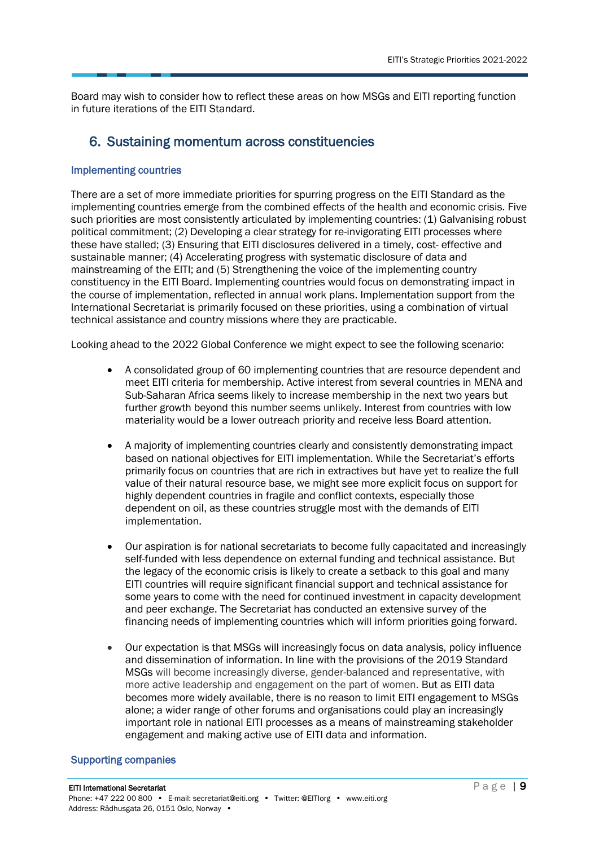Board may wish to consider how to reflect these areas on how MSGs and EITI reporting function in future iterations of the EITI Standard.

#### <span id="page-8-0"></span>6. Sustaining momentum across constituencies

#### Implementing countries

There are a set of more immediate priorities for spurring progress on the EITI Standard as the implementing countries emerge from the combined effects of the health and economic crisis. Five such priorities are most consistently articulated by implementing countries: (1) Galvanising robust political commitment; (2) Developing a clear strategy for re-invigorating EITI processes where these have stalled; (3) Ensuring that EITI disclosures delivered in a timely, cost- effective and sustainable manner; (4) Accelerating progress with systematic disclosure of data and mainstreaming of the EITI; and (5) Strengthening the voice of the implementing country constituency in the EITI Board. Implementing countries would focus on demonstrating impact in the course of implementation, reflected in annual work plans. Implementation support from the International Secretariat is primarily focused on these priorities, using a combination of virtual technical assistance and country missions where they are practicable.

Looking ahead to the 2022 Global Conference we might expect to see the following scenario:

- A consolidated group of 60 implementing countries that are resource dependent and meet EITI criteria for membership. Active interest from several countries in MENA and Sub-Saharan Africa seems likely to increase membership in the next two years but further growth beyond this number seems unlikely. Interest from countries with low materiality would be a lower outreach priority and receive less Board attention.
- A majority of implementing countries clearly and consistently demonstrating impact based on national objectives for EITI implementation. While the Secretariat's efforts primarily focus on countries that are rich in extractives but have yet to realize the full value of their natural resource base, we might see more explicit focus on support for highly dependent countries in fragile and conflict contexts, especially those dependent on oil, as these countries struggle most with the demands of EITI implementation.
- Our aspiration is for national secretariats to become fully capacitated and increasingly self-funded with less dependence on external funding and technical assistance. But the legacy of the economic crisis is likely to create a setback to this goal and many EITI countries will require significant financial support and technical assistance for some years to come with the need for continued investment in capacity development and peer exchange. The Secretariat has conducted an extensive survey of the financing needs of implementing countries which will inform priorities going forward.
- Our expectation is that MSGs will increasingly focus on data analysis, policy influence and dissemination of information. In line with the provisions of the 2019 Standard MSGs will become increasingly diverse, gender-balanced and representative, with more active leadership and engagement on the part of women. But as EITI data becomes more widely available, there is no reason to limit EITI engagement to MSGs alone; a wider range of other forums and organisations could play an increasingly important role in national EITI processes as a means of mainstreaming stakeholder engagement and making active use of EITI data and information.

#### Supporting companies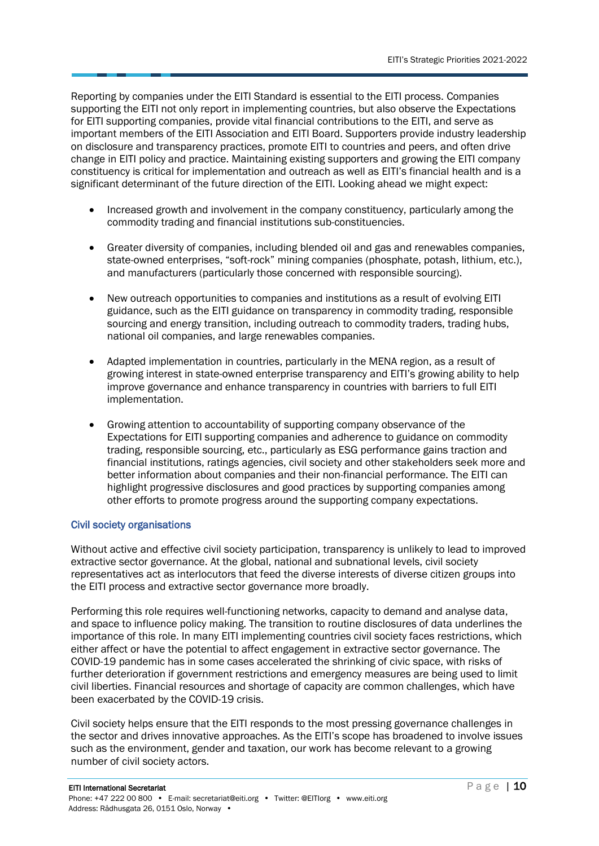Reporting by companies under the EITI Standard is essential to the EITI process. Companies supporting the EITI not only report in implementing countries, but also observe the Expectations for EITI supporting companies, provide vital financial contributions to the EITI, and serve as important members of the EITI Association and EITI Board. Supporters provide industry leadership on disclosure and transparency practices, promote EITI to countries and peers, and often drive change in EITI policy and practice. Maintaining existing supporters and growing the EITI company constituency is critical for implementation and outreach as well as EITI's financial health and is a significant determinant of the future direction of the EITI. Looking ahead we might expect:

- Increased growth and involvement in the company constituency, particularly among the commodity trading and financial institutions sub-constituencies.
- Greater diversity of companies, including blended oil and gas and renewables companies, state-owned enterprises, "soft-rock" mining companies (phosphate, potash, lithium, etc.), and manufacturers (particularly those concerned with responsible sourcing).
- New outreach opportunities to companies and institutions as a result of evolving EITI guidance, such as the EITI guidance on transparency in commodity trading, responsible sourcing and energy transition, including outreach to commodity traders, trading hubs, national oil companies, and large renewables companies.
- Adapted implementation in countries, particularly in the MENA region, as a result of growing interest in state-owned enterprise transparency and EITI's growing ability to help improve governance and enhance transparency in countries with barriers to full EITI implementation.
- Growing attention to accountability of supporting company observance of the Expectations for EITI supporting companies and adherence to guidance on commodity trading, responsible sourcing, etc., particularly as ESG performance gains traction and financial institutions, ratings agencies, civil society and other stakeholders seek more and better information about companies and their non-financial performance. The EITI can highlight progressive disclosures and good practices by supporting companies among other efforts to promote progress around the supporting company expectations.

#### Civil society organisations

Without active and effective civil society participation, transparency is unlikely to lead to improved extractive sector governance. At the global, national and subnational levels, civil society representatives act as interlocutors that feed the diverse interests of diverse citizen groups into the EITI process and extractive sector governance more broadly.

Performing this role requires well-functioning networks, capacity to demand and analyse data, and space to influence policy making. The transition to routine disclosures of data underlines the importance of this role. In many EITI implementing countries civil society faces restrictions, which either affect or have the potential to affect engagement in extractive sector governance. The COVID-19 pandemic has in some cases accelerated the shrinking of civic space, with risks of further deterioration if government restrictions and emergency measures are being used to limit civil liberties. Financial resources and shortage of capacity are common challenges, which have been exacerbated by the COVID-19 crisis.

Civil society helps ensure that the EITI responds to the most pressing governance challenges in the sector and drives innovative approaches. As the EITI's scope has broadened to involve issues such as the environment, gender and taxation, our work has become relevant to a growing number of civil society actors.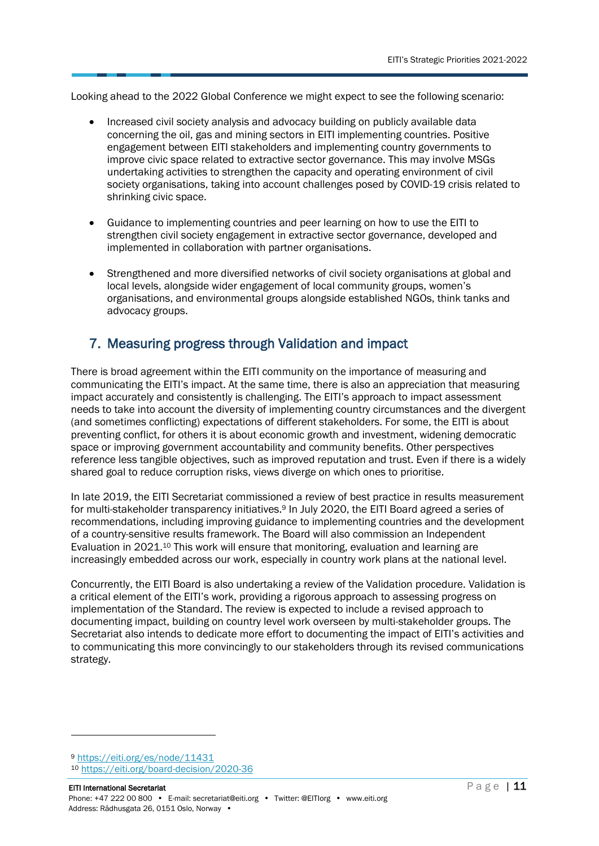Looking ahead to the 2022 Global Conference we might expect to see the following scenario:

- Increased civil society analysis and advocacy building on publicly available data concerning the oil, gas and mining sectors in EITI implementing countries. Positive engagement between EITI stakeholders and implementing country governments to improve civic space related to extractive sector governance. This may involve MSGs undertaking activities to strengthen the capacity and operating environment of civil society organisations, taking into account challenges posed by COVID-19 crisis related to shrinking civic space.
- Guidance to implementing countries and peer learning on how to use the EITI to strengthen civil society engagement in extractive sector governance, developed and implemented in collaboration with partner organisations.
- Strengthened and more diversified networks of civil society organisations at global and local levels, alongside wider engagement of local community groups, women's organisations, and environmental groups alongside established NGOs, think tanks and advocacy groups.

#### <span id="page-10-0"></span>7. Measuring progress through Validation and impact

There is broad agreement within the EITI community on the importance of measuring and communicating the EITI's impact. At the same time, there is also an appreciation that measuring impact accurately and consistently is challenging. The EITI's approach to impact assessment needs to take into account the diversity of implementing country circumstances and the divergent (and sometimes conflicting) expectations of different stakeholders. For some, the EITI is about preventing conflict, for others it is about economic growth and investment, widening democratic space or improving government accountability and community benefits. Other perspectives reference less tangible objectives, such as improved reputation and trust. Even if there is a widely shared goal to reduce corruption risks, views diverge on which ones to prioritise.

In late 2019, the EITI Secretariat commissioned a review of best practice in results measurement for multi-stakeholder transparency initiatives. <sup>9</sup> In July 2020, the EITI Board agreed a series of recommendations, including improving guidance to implementing countries and the development of a country-sensitive results framework. The Board will also commission an Independent Evaluation in 2021. <sup>10</sup> This work will ensure that monitoring, evaluation and learning are increasingly embedded across our work, especially in country work plans at the national level.

Concurrently, the EITI Board is also undertaking a review of the Validation procedure. Validation is a critical element of the EITI's work, providing a rigorous approach to assessing progress on implementation of the Standard. The review is expected to include a revised approach to documenting impact, building on country level work overseen by multi-stakeholder groups. The Secretariat also intends to dedicate more effort to documenting the impact of EITI's activities and to communicating this more convincingly to our stakeholders through its revised communications strategy.

<sup>9</sup> <https://eiti.org/es/node/11431>

<sup>10</sup> <https://eiti.org/board-decision/2020-36>